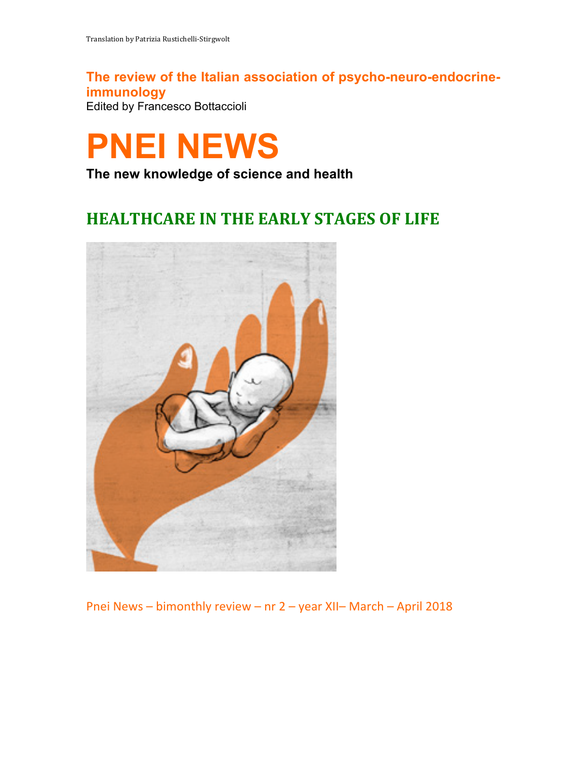**The review of the Italian association of psycho-neuro-endocrineimmunology** Edited by Francesco Bottaccioli

# **PNEI NEWS**

**The new knowledge of science and health**

# **HEALTHCARE IN THE EARLY STAGES OF LIFE**



Pnei News - bimonthly review - nr 2 - year XII- March - April 2018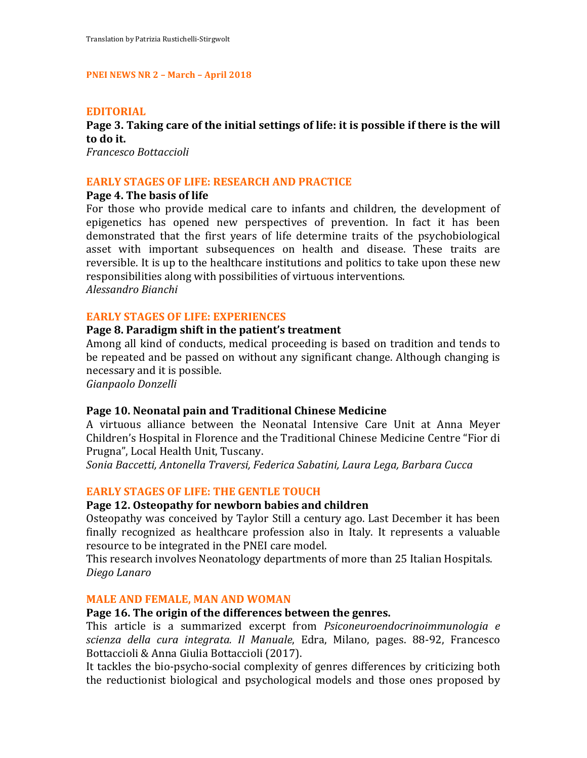#### **PNEI NEWS NR 2 - March - April 2018**

#### **EDITORIAL**

# **Page 3. Taking care of the initial settings of life: it is possible if there is the will to do it.**

*Francesco Bottaccioli*

#### **EARLY STAGES OF LIFE: RESEARCH AND PRACTICE**

#### **Page 4. The basis of life**

For those who provide medical care to infants and children, the development of epigenetics has opened new perspectives of prevention. In fact it has been demonstrated that the first years of life determine traits of the psychobiological asset with important subsequences on health and disease. These traits are reversible. It is up to the healthcare institutions and politics to take upon these new responsibilities along with possibilities of virtuous interventions. *Alessandro Bianchi*

#### **EARLY STAGES OF LIFE: EXPERIENCES**

#### **Page 8. Paradigm shift in the patient's treatment**

Among all kind of conducts, medical proceeding is based on tradition and tends to be repeated and be passed on without any significant change. Although changing is necessary and it is possible.

*Gianpaolo Donzelli*

#### Page 10. Neonatal pain and Traditional Chinese Medicine

A virtuous alliance between the Neonatal Intensive Care Unit at Anna Meyer Children's Hospital in Florence and the Traditional Chinese Medicine Centre "Fior di Prugna", Local Health Unit, Tuscany.

Sonia Baccetti, Antonella Traversi, Federica Sabatini, Laura Lega, Barbara Cucca

#### **EARLY STAGES OF LIFE: THE GENTLE TOUCH**

#### Page 12. Osteopathy for newborn babies and children

Osteopathy was conceived by Taylor Still a century ago. Last December it has been finally recognized as healthcare profession also in Italy. It represents a valuable resource to be integrated in the PNEI care model.

This research involves Neonatology departments of more than 25 Italian Hospitals. *Diego Lanaro*

#### **MALE AND FEMALE, MAN AND WOMAN**

#### Page 16. The origin of the differences between the genres.

This article is a summarized excerpt from *Psiconeuroendocrinoimmunologia e scienza della cura integrata. Il Manuale*, Edra, Milano, pages. 88-92, Francesco Bottaccioli & Anna Giulia Bottaccioli (2017).

It tackles the bio-psycho-social complexity of genres differences by criticizing both the reductionist biological and psychological models and those ones proposed by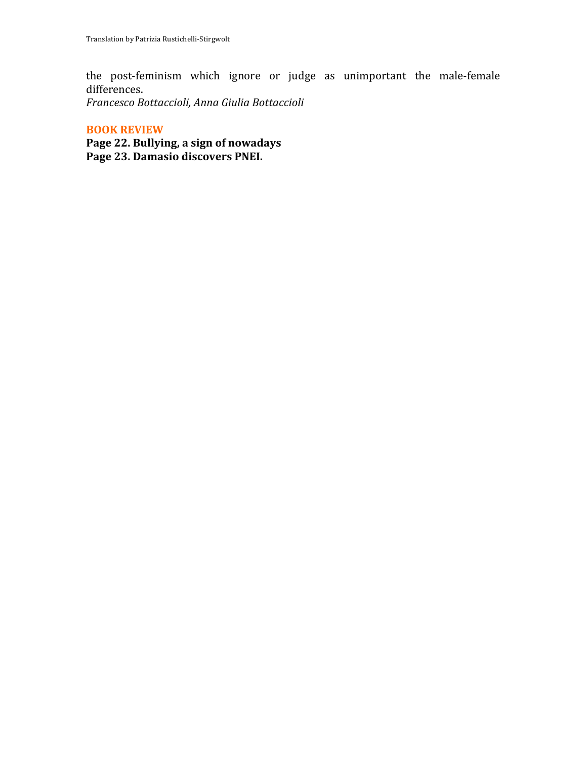the post-feminism which ignore or judge as unimportant the male-female differences.

*Francesco Bottaccioli, Anna Giulia Bottaccioli*

### **BOOK REVIEW**

Page 22. Bullying, a sign of nowadays Page 23. Damasio discovers PNEI.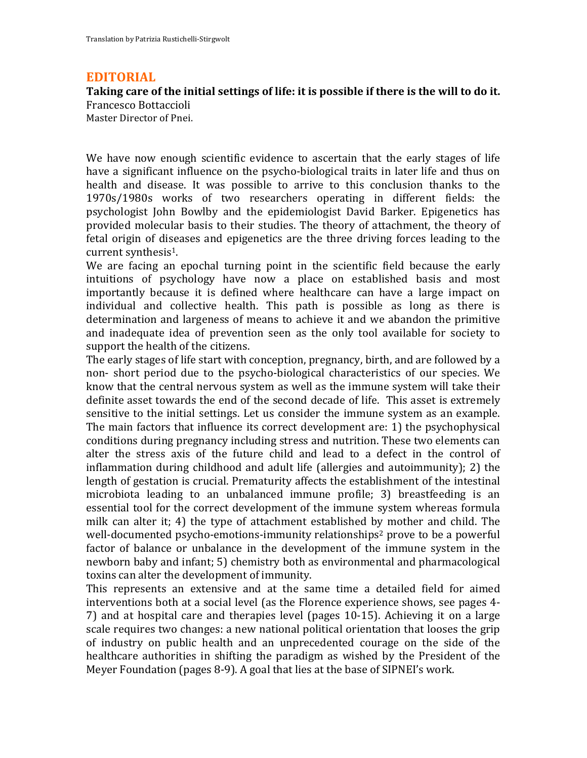# **EDITORIAL**

# **Taking care of the initial settings of life: it is possible if there is the will to do it.**

Francesco Bottaccioli Master Director of Pnei.

We have now enough scientific evidence to ascertain that the early stages of life have a significant influence on the psycho-biological traits in later life and thus on health and disease. It was possible to arrive to this conclusion thanks to the 1970s/1980s works of two researchers operating in different fields: the psychologist John Bowlby and the epidemiologist David Barker. Epigenetics has provided molecular basis to their studies. The theory of attachment, the theory of fetal origin of diseases and epigenetics are the three driving forces leading to the current synthesis $1$ .

We are facing an epochal turning point in the scientific field because the early intuitions of psychology have now a place on established basis and most importantly because it is defined where healthcare can have a large impact on individual and collective health. This path is possible as long as there is determination and largeness of means to achieve it and we abandon the primitive and inadequate idea of prevention seen as the only tool available for society to support the health of the citizens.

The early stages of life start with conception, pregnancy, birth, and are followed by a non- short period due to the psycho-biological characteristics of our species. We know that the central nervous system as well as the immune system will take their definite asset towards the end of the second decade of life. This asset is extremely sensitive to the initial settings. Let us consider the immune system as an example. The main factors that influence its correct development are: 1) the psychophysical conditions during pregnancy including stress and nutrition. These two elements can alter the stress axis of the future child and lead to a defect in the control of inflammation during childhood and adult life (allergies and autoimmunity); 2) the length of gestation is crucial. Prematurity affects the establishment of the intestinal microbiota leading to an unbalanced immune profile; 3) breastfeeding is an essential tool for the correct development of the immune system whereas formula milk can alter it; 4) the type of attachment established by mother and child. The well-documented psycho-emotions-immunity relationships<sup>2</sup> prove to be a powerful factor of balance or unbalance in the development of the immune system in the newborn baby and infant; 5) chemistry both as environmental and pharmacological toxins can alter the development of immunity.

This represents an extensive and at the same time a detailed field for aimed interventions both at a social level (as the Florence experience shows, see pages 4-7) and at hospital care and therapies level (pages 10-15). Achieving it on a large scale requires two changes: a new national political orientation that looses the grip of industry on public health and an unprecedented courage on the side of the healthcare authorities in shifting the paradigm as wished by the President of the Meyer Foundation (pages  $8-9$ ). A goal that lies at the base of SIPNEI's work.